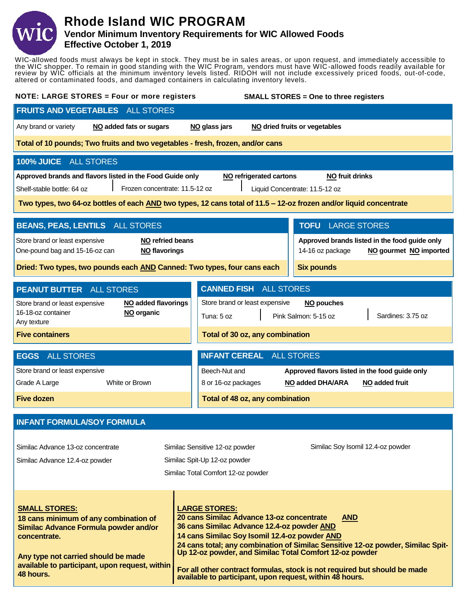

## **Rhode Island WIC PROGRAM**

## **Vendor Minimum Inventory Requirements for WIC Allowed Foods Effective October 1, 2019**

WIC-allowed foods must always be kept in stock. They must be in sales areas, or upon request, and immediately accessible to the WIC shopper. To remain in good standing with the WIC Program, vendors must have WIC-allowed foods readily available for review by WIC officials at the minimum inventory levels listed. RIDOH will not include excessively priced foods, out-of-code, altered or contaminated foods, and damaged containers in calculating inventory levels.

|                                                                                                                                                               | <b>NOTE: LARGE STORES = Four or more registers</b><br><b>SMALL STORES = One to three registers</b>                                                                                                                          |                                                                                               |  |  |  |  |  |
|---------------------------------------------------------------------------------------------------------------------------------------------------------------|-----------------------------------------------------------------------------------------------------------------------------------------------------------------------------------------------------------------------------|-----------------------------------------------------------------------------------------------|--|--|--|--|--|
| FRUITS AND VEGETABLES ALL STORES                                                                                                                              |                                                                                                                                                                                                                             |                                                                                               |  |  |  |  |  |
| Any brand or variety<br>NO added fats or sugars                                                                                                               | NO glass jars                                                                                                                                                                                                               | NO dried fruits or vegetables                                                                 |  |  |  |  |  |
| Total of 10 pounds; Two fruits and two vegetables - fresh, frozen, and/or cans                                                                                |                                                                                                                                                                                                                             |                                                                                               |  |  |  |  |  |
| 100% JUICE ALL STORES                                                                                                                                         |                                                                                                                                                                                                                             |                                                                                               |  |  |  |  |  |
| Approved brands and flavors listed in the Food Guide only<br><b>NO fruit drinks</b><br>NO refrigerated cartons                                                |                                                                                                                                                                                                                             |                                                                                               |  |  |  |  |  |
| Frozen concentrate: 11.5-12 oz<br>Shelf-stable bottle: 64 oz<br>Liquid Concentrate: 11.5-12 oz                                                                |                                                                                                                                                                                                                             |                                                                                               |  |  |  |  |  |
| Two types, two 64-oz bottles of each AND two types, 12 cans total of 11.5 - 12-oz frozen and/or liquid concentrate                                            |                                                                                                                                                                                                                             |                                                                                               |  |  |  |  |  |
| <b>BEANS, PEAS, LENTILS ALL STORES</b>                                                                                                                        |                                                                                                                                                                                                                             | <b>TOFU LARGE STORES</b>                                                                      |  |  |  |  |  |
| Store brand or least expensive<br>NO refried beans<br>One-pound bag and 15-16-oz can<br><b>NO</b> flavorings                                                  |                                                                                                                                                                                                                             | Approved brands listed in the food guide only<br>NO gourmet NO imported<br>14-16 oz package   |  |  |  |  |  |
| Dried: Two types, two pounds each AND Canned: Two types, four cans each                                                                                       |                                                                                                                                                                                                                             | <b>Six pounds</b>                                                                             |  |  |  |  |  |
| <b>CANNED FISH ALL STORES</b><br><b>PEANUT BUTTER ALL STORES</b>                                                                                              |                                                                                                                                                                                                                             |                                                                                               |  |  |  |  |  |
| Store brand or least expensive<br>NO added flavorings                                                                                                         | Store brand or least expensive                                                                                                                                                                                              | NO pouches                                                                                    |  |  |  |  |  |
| 16-18-oz container<br>NO organic<br>Any texture                                                                                                               | Tuna: 5 oz                                                                                                                                                                                                                  | Sardines: 3.75 oz<br>Pink Salmon: 5-15 oz                                                     |  |  |  |  |  |
| <b>Five containers</b>                                                                                                                                        | Total of 30 oz, any combination                                                                                                                                                                                             |                                                                                               |  |  |  |  |  |
|                                                                                                                                                               |                                                                                                                                                                                                                             |                                                                                               |  |  |  |  |  |
| <b>ALL STORES</b><br><b>EGGS</b>                                                                                                                              | <b>INFANT CEREAL ALL STORES</b>                                                                                                                                                                                             |                                                                                               |  |  |  |  |  |
| Store brand or least expensive                                                                                                                                | Beech-Nut and                                                                                                                                                                                                               | Approved flavors listed in the food guide only                                                |  |  |  |  |  |
| White or Brown<br>Grade A Large                                                                                                                               | 8 or 16-oz packages                                                                                                                                                                                                         | NO added DHA/ARA<br>NO added fruit                                                            |  |  |  |  |  |
| <b>Five dozen</b>                                                                                                                                             | Total of 48 oz, any combination                                                                                                                                                                                             |                                                                                               |  |  |  |  |  |
|                                                                                                                                                               |                                                                                                                                                                                                                             |                                                                                               |  |  |  |  |  |
| <b>INFANT FORMULA/SOY FORMULA</b>                                                                                                                             |                                                                                                                                                                                                                             |                                                                                               |  |  |  |  |  |
| Similac Advance 13-oz concentrate                                                                                                                             | Similac Sensitive 12-oz powder                                                                                                                                                                                              | Similac Soy Isomil 12.4-oz powder                                                             |  |  |  |  |  |
| Similac Advance 12.4-oz powder                                                                                                                                | Similac Spit-Up 12-oz powder                                                                                                                                                                                                |                                                                                               |  |  |  |  |  |
|                                                                                                                                                               | Similac Total Comfort 12-oz powder                                                                                                                                                                                          |                                                                                               |  |  |  |  |  |
| <b>SMALL STORES:</b><br>18 cans minimum of any combination of<br>Similac Advance Formula powder and/or<br>concentrate.<br>Any type not carried should be made | <b>LARGE STORES:</b><br>20 cans Similac Advance 13-oz concentrate<br>36 cans Similac Advance 12.4-oz powder AND<br>14 cans Similac Soy Isomil 12.4-oz powder AND<br>Up 12-oz powder, and Similac Total Comfort 12-oz powder | <b>AND</b><br>24 cans total; any combination of Similac Sensitive 12-oz powder, Similac Spit- |  |  |  |  |  |